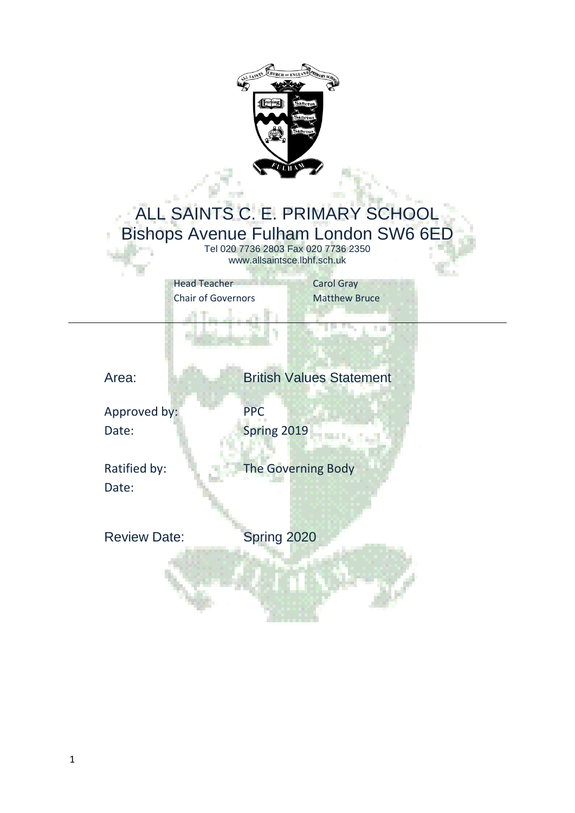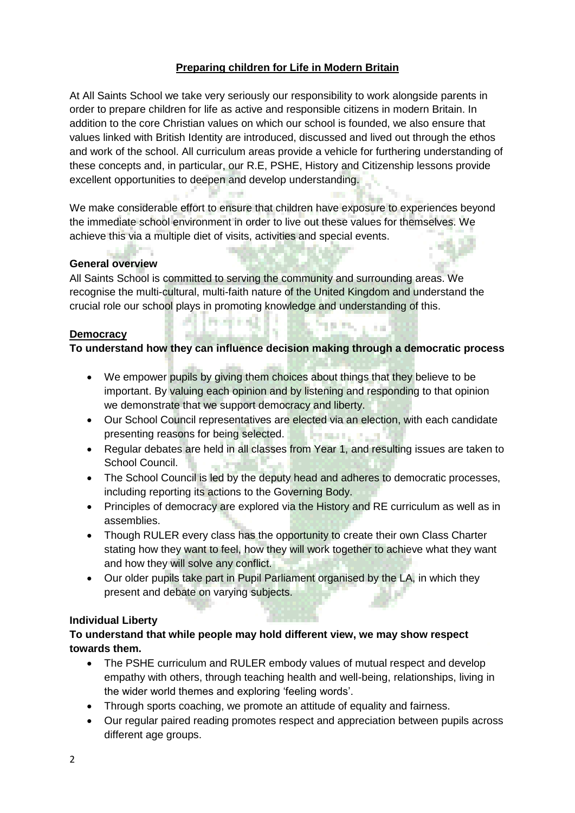# **Preparing children for Life in Modern Britain**

At All Saints School we take very seriously our responsibility to work alongside parents in order to prepare children for life as active and responsible citizens in modern Britain. In addition to the core Christian values on which our school is founded, we also ensure that values linked with British Identity are introduced, discussed and lived out through the ethos and work of the school. All curriculum areas provide a vehicle for furthering understanding of these concepts and, in particular, our R.E, PSHE, History and Citizenship lessons provide excellent opportunities to deepen and develop understanding.

We make considerable effort to ensure that children have exposure to experiences beyond the immediate school environment in order to live out these values for themselves. We achieve this via a multiple diet of visits, activities and special events.

**All A** 

**STEP** 

Allmayer (1)

a.

# **General overview**

All Saints School is committed to serving the community and surrounding areas. We recognise the multi-cultural, multi-faith nature of the United Kingdom and understand the crucial role our school plays in promoting knowledge and understanding of this.

#### **Democracy**

**To understand how they can influence decision making through a democratic process**

**SEPA LAB** 

- We empower pupils by giving them choices about things that they believe to be important. By valuing each opinion and by listening and responding to that opinion we demonstrate that we support democracy and liberty.
- Our School Council representatives are elected via an election, with each candidate presenting reasons for being selected. **PERMIT AND**
- Regular debates are held in all classes from Year 1, and resulting issues are taken to School Council.
- The School Council is led by the deputy head and adheres to democratic processes, including reporting its actions to the Governing Body.
- Principles of democracy are explored via the History and RE curriculum as well as in assemblies.
- Though RULER every class has the opportunity to create their own Class Charter stating how they want to feel, how they will work together to achieve what they want and how they will solve any conflict.
- Our older pupils take part in Pupil Parliament organised by the LA, in which they present and debate on varying subjects.

#### **Individual Liberty**

### **To understand that while people may hold different view, we may show respect towards them.**

- The PSHE curriculum and RULER embody values of mutual respect and develop empathy with others, through teaching health and well-being, relationships, living in the wider world themes and exploring 'feeling words'.
- Through sports coaching, we promote an attitude of equality and fairness.
- Our regular paired reading promotes respect and appreciation between pupils across different age groups.